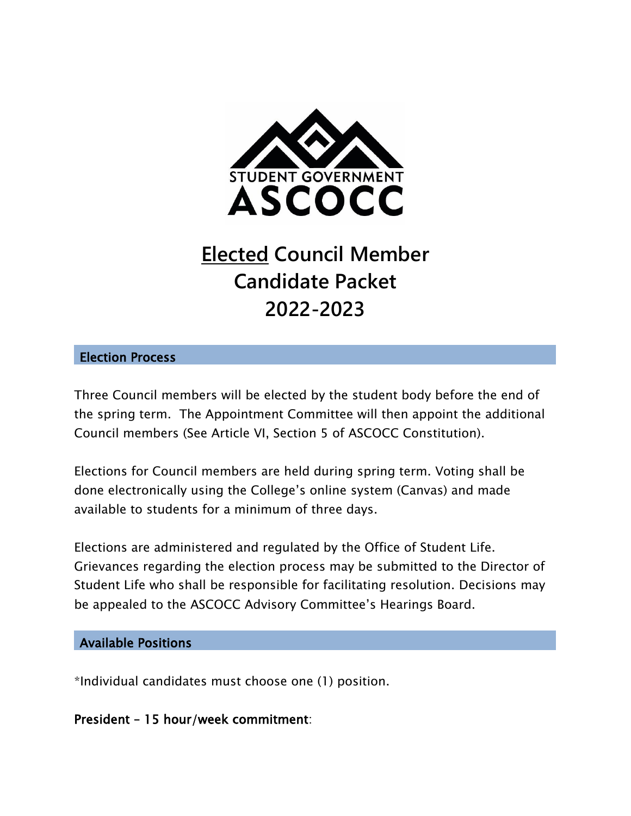

# **Elected Council Member Candidate Packet 2022-2023**

## Election Process

Three Council members will be elected by the student body before the end of the spring term. The Appointment Committee will then appoint the additional Council members (See Article VI, Section 5 of ASCOCC Constitution).

Elections for Council members are held during spring term. Voting shall be done electronically using the College's online system (Canvas) and made available to students for a minimum of three days.

Elections are administered and regulated by the Office of Student Life. Grievances regarding the election process may be submitted to the Director of Student Life who shall be responsible for facilitating resolution. Decisions may be appealed to the ASCOCC Advisory Committee's Hearings Board.

## Available Positions

\*Individual candidates must choose one (1) position.

## President – 15 hour/week commitment: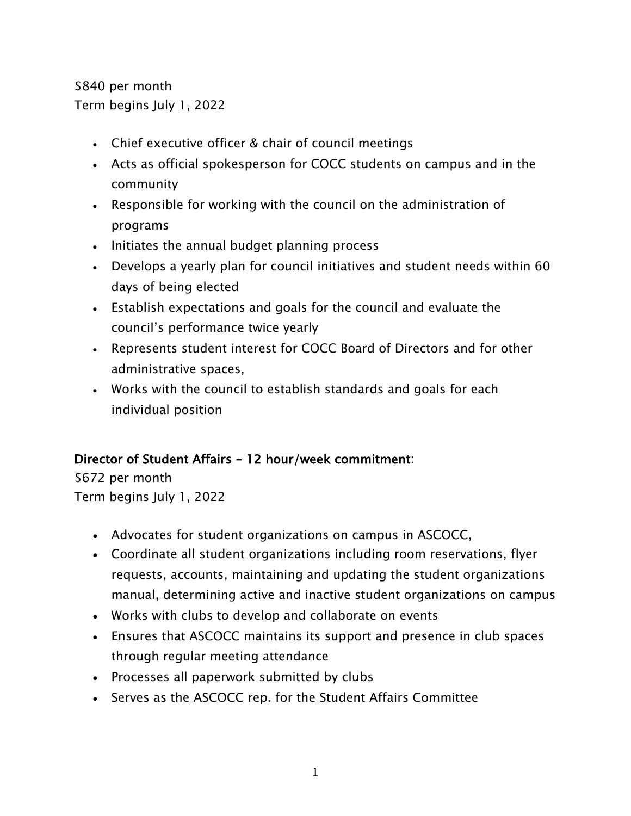\$840 per month Term begins July 1, 2022

- Chief executive officer & chair of council meetings
- Acts as official spokesperson for COCC students on campus and in the community
- Responsible for working with the council on the administration of programs
- Initiates the annual budget planning process
- Develops a yearly plan for council initiatives and student needs within 60 days of being elected
- Establish expectations and goals for the council and evaluate the council's performance twice yearly
- Represents student interest for COCC Board of Directors and for other administrative spaces,
- Works with the council to establish standards and goals for each individual position

# Director of Student Affairs – 12 hour/week commitment:

\$672 per month Term begins July 1, 2022

- Advocates for student organizations on campus in ASCOCC,
- Coordinate all student organizations including room reservations, flyer requests, accounts, maintaining and updating the student organizations manual, determining active and inactive student organizations on campus
- Works with clubs to develop and collaborate on events
- Ensures that ASCOCC maintains its support and presence in club spaces through regular meeting attendance
- Processes all paperwork submitted by clubs
- Serves as the ASCOCC rep. for the Student Affairs Committee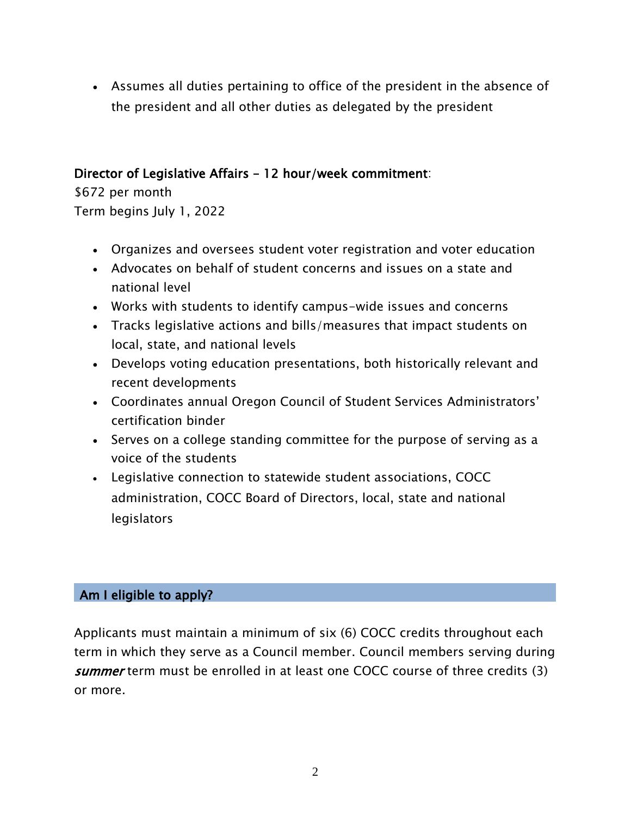Assumes all duties pertaining to office of the president in the absence of the president and all other duties as delegated by the president

# Director of Legislative Affairs – 12 hour/week commitment:

\$672 per month Term begins July 1, 2022

- Organizes and oversees student voter registration and voter education
- Advocates on behalf of student concerns and issues on a state and national level
- Works with students to identify campus-wide issues and concerns
- Tracks legislative actions and bills/measures that impact students on local, state, and national levels
- Develops voting education presentations, both historically relevant and recent developments
- Coordinates annual Oregon Council of Student Services Administrators' certification binder
- Serves on a college standing committee for the purpose of serving as a voice of the students
- Legislative connection to statewide student associations, COCC administration, COCC Board of Directors, local, state and national legislators

# Am I eligible to apply?

Applicants must maintain a minimum of six (6) COCC credits throughout each term in which they serve as a Council member. Council members serving during summer term must be enrolled in at least one COCC course of three credits (3) or more.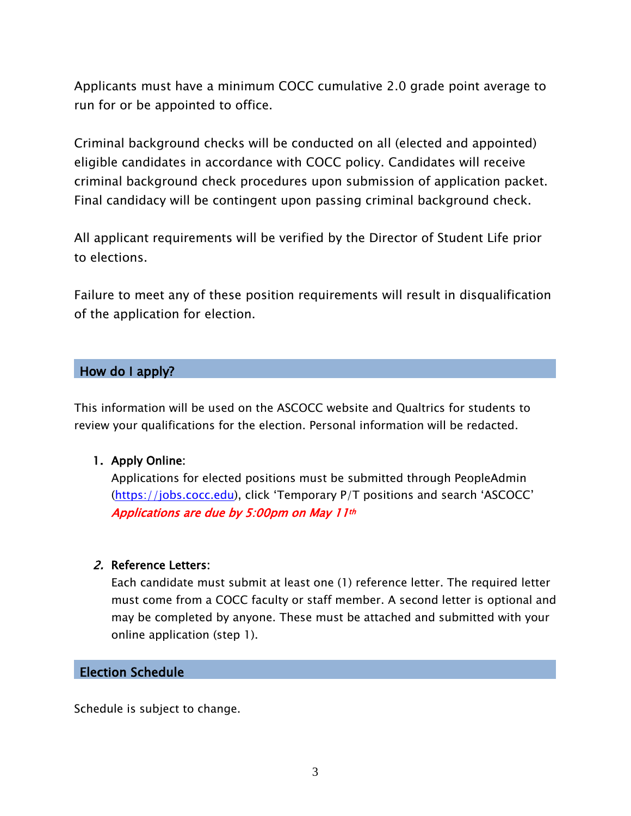Applicants must have a minimum COCC cumulative 2.0 grade point average to run for or be appointed to office.

Criminal background checks will be conducted on all (elected and appointed) eligible candidates in accordance with COCC policy. Candidates will receive criminal background check procedures upon submission of application packet. Final candidacy will be contingent upon passing criminal background check.

All applicant requirements will be verified by the Director of Student Life prior to elections.

Failure to meet any of these position requirements will result in disqualification of the application for election.

#### How do I apply?

This information will be used on the ASCOCC website and Qualtrics for students to review your qualifications for the election. Personal information will be redacted.

#### 1. Apply Online:

Applications for elected positions must be submitted through PeopleAdmin [\(https://jobs.cocc.edu\)](https://jobs.cocc.edu/), click 'Temporary P/T positions and search 'ASCOCC' Applications are due by 5:00pm on May 11th

#### 2. Reference Letters:

Each candidate must submit at least one (1) reference letter. The required letter must come from a COCC faculty or staff member. A second letter is optional and may be completed by anyone. These must be attached and submitted with your online application (step 1).

#### Election Schedule

Schedule is subject to change.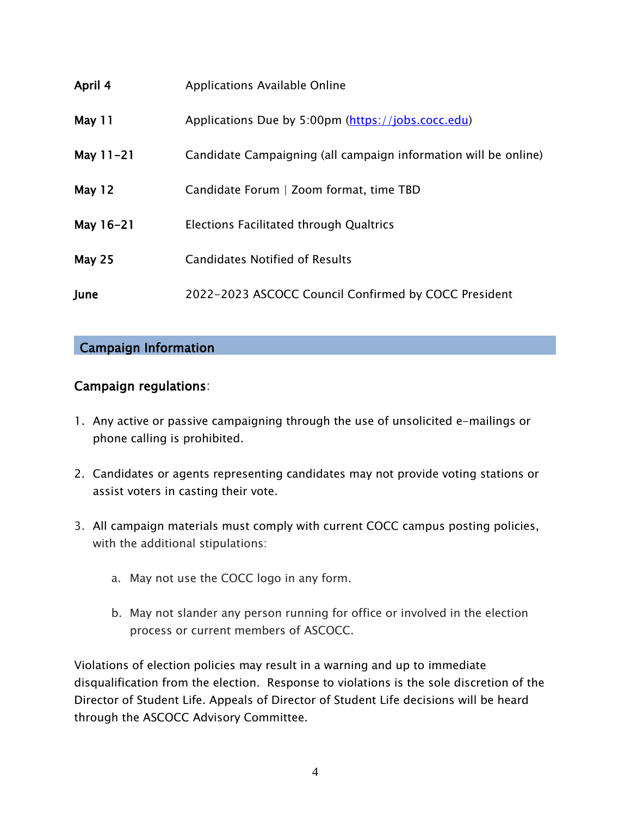| April 4       | Applications Available Online                                   |
|---------------|-----------------------------------------------------------------|
| May 11        | Applications Due by 5:00pm (https://jobs.cocc.edu)              |
| May $11 - 21$ | Candidate Campaigning (all campaign information will be online) |
| <b>May 12</b> | Candidate Forum   Zoom format, time TBD                         |
| May 16-21     | Elections Facilitated through Qualtrics                         |
| <b>May 25</b> | <b>Candidates Notified of Results</b>                           |
| June          | 2022-2023 ASCOCC Council Confirmed by COCC President            |

# Campaign Information

# Campaign regulations:

- 1. Any active or passive campaigning through the use of unsolicited e-mailings or phone calling is prohibited.
- 2. Candidates or agents representing candidates may not provide voting stations or assist voters in casting their vote.
- 3. All campaign materials must comply with current COCC campus posting policies, with the additional stipulations:
	- a. May not use the COCC logo in any form.
	- b. May not slander any person running for office or involved in the election process or current members of ASCOCC.

Violations of election policies may result in a warning and up to immediate disqualification from the election. Response to violations is the sole discretion of the Director of Student Life. Appeals of Director of Student Life decisions will be heard through the ASCOCC Advisory Committee.